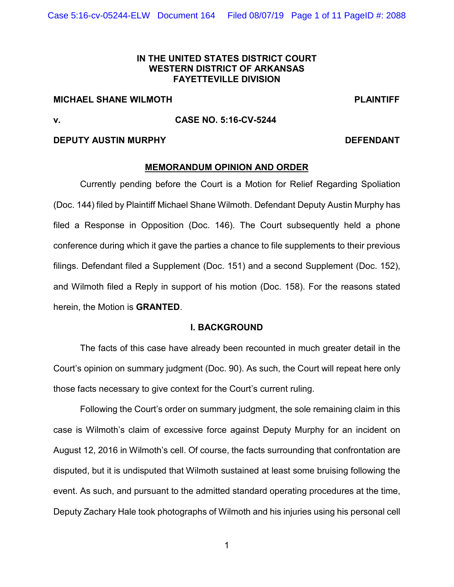### **IN THE UNITED STATES DISTRICT COURT WESTERN DISTRICT OF ARKANSAS FAYETTEVILLE DIVISION**

# **MICHAEL SHANE WILMOTH PLAINTIFF**

## **v. CASE NO. 5:16-CV-5244**

### **DEPUTY AUSTIN MURPHY DEFENDANT**

### **MEMORANDUM OPINION AND ORDER**

Currently pending before the Court is a Motion for Relief Regarding Spoliation (Doc. 144) filed by Plaintiff Michael Shane Wilmoth. Defendant Deputy Austin Murphy has filed a Response in Opposition (Doc. 146). The Court subsequently held a phone conference during which it gave the parties a chance to file supplements to their previous filings. Defendant filed a Supplement (Doc. 151) and a second Supplement (Doc. 152), and Wilmoth filed a Reply in support of his motion (Doc. 158). For the reasons stated herein, the Motion is **GRANTED**.

### **I. BACKGROUND**

The facts of this case have already been recounted in much greater detail in the Court's opinion on summary judgment (Doc. 90). As such, the Court will repeat here only those facts necessary to give context for the Court's current ruling.

Following the Court's order on summary judgment, the sole remaining claim in this case is Wilmoth's claim of excessive force against Deputy Murphy for an incident on August 12, 2016 in Wilmoth's cell. Of course, the facts surrounding that confrontation are disputed, but it is undisputed that Wilmoth sustained at least some bruising following the event. As such, and pursuant to the admitted standard operating procedures at the time, Deputy Zachary Hale took photographs of Wilmoth and his injuries using his personal cell

1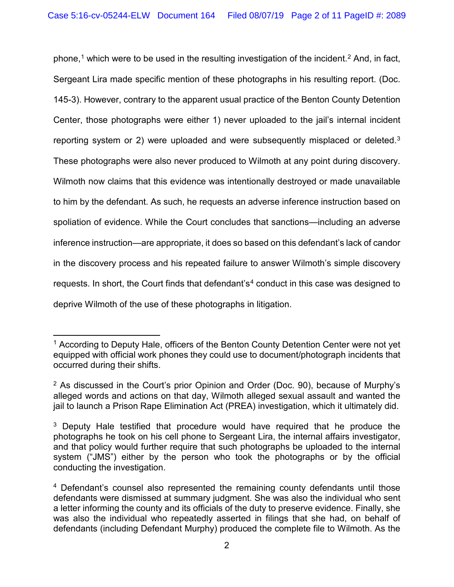phone, [1](#page-1-0) which were to be used in the resulting investigation of the incident.[2](#page-1-1) And, in fact, Sergeant Lira made specific mention of these photographs in his resulting report. (Doc. 145-3). However, contrary to the apparent usual practice of the Benton County Detention Center, those photographs were either 1) never uploaded to the jail's internal incident reporting system or 2) were uploaded and were subsequently misplaced or deleted.[3](#page-1-2) These photographs were also never produced to Wilmoth at any point during discovery. Wilmoth now claims that this evidence was intentionally destroyed or made unavailable to him by the defendant. As such, he requests an adverse inference instruction based on spoliation of evidence. While the Court concludes that sanctions—including an adverse inference instruction—are appropriate, it does so based on this defendant's lack of candor in the discovery process and his repeated failure to answer Wilmoth's simple discovery requests. In short, the Court finds that defendant's<sup>[4](#page-1-3)</sup> conduct in this case was designed to deprive Wilmoth of the use of these photographs in litigation.

<span id="page-1-0"></span> $1$  According to Deputy Hale, officers of the Benton County Detention Center were not yet equipped with official work phones they could use to document/photograph incidents that occurred during their shifts.

<span id="page-1-1"></span><sup>&</sup>lt;sup>2</sup> As discussed in the Court's prior Opinion and Order (Doc. 90), because of Murphy's alleged words and actions on that day, Wilmoth alleged sexual assault and wanted the jail to launch a Prison Rape Elimination Act (PREA) investigation, which it ultimately did.

<span id="page-1-2"></span><sup>&</sup>lt;sup>3</sup> Deputy Hale testified that procedure would have required that he produce the photographs he took on his cell phone to Sergeant Lira, the internal affairs investigator, and that policy would further require that such photographs be uploaded to the internal system ("JMS") either by the person who took the photographs or by the official conducting the investigation.

<span id="page-1-3"></span><sup>4</sup> Defendant's counsel also represented the remaining county defendants until those defendants were dismissed at summary judgment. She was also the individual who sent a letter informing the county and its officials of the duty to preserve evidence. Finally, she was also the individual who repeatedly asserted in filings that she had, on behalf of defendants (including Defendant Murphy) produced the complete file to Wilmoth. As the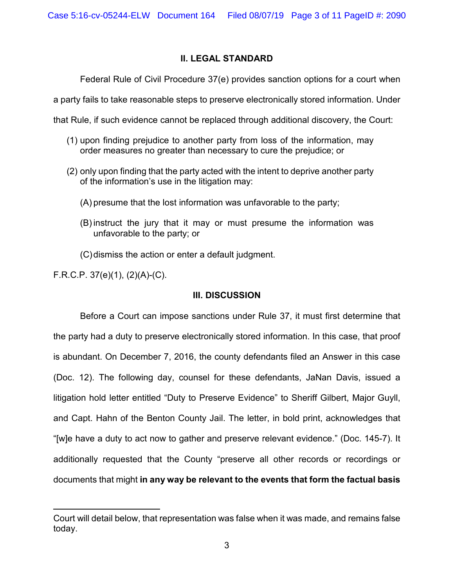## **II. LEGAL STANDARD**

Federal Rule of Civil Procedure 37(e) provides sanction options for a court when

a party fails to take reasonable steps to preserve electronically stored information. Under

that Rule, if such evidence cannot be replaced through additional discovery, the Court:

- (1) upon finding prejudice to another party from loss of the information, may order measures no greater than necessary to cure the prejudice; or
- (2) only upon finding that the party acted with the intent to deprive another party of the information's use in the litigation may:
	- (A) presume that the lost information was unfavorable to the party;
	- (B) instruct the jury that it may or must presume the information was unfavorable to the party; or
	- (C)dismiss the action or enter a default judgment.

F.R.C.P. 37(e)(1), (2)(A)-(C).

## **III. DISCUSSION**

Before a Court can impose sanctions under Rule 37, it must first determine that the party had a duty to preserve electronically stored information. In this case, that proof is abundant. On December 7, 2016, the county defendants filed an Answer in this case (Doc. 12). The following day, counsel for these defendants, JaNan Davis, issued a litigation hold letter entitled "Duty to Preserve Evidence" to Sheriff Gilbert, Major Guyll, and Capt. Hahn of the Benton County Jail. The letter, in bold print, acknowledges that "[w]e have a duty to act now to gather and preserve relevant evidence." (Doc. 145-7). It additionally requested that the County "preserve all other records or recordings or documents that might **in any way be relevant to the events that form the factual basis** 

Court will detail below, that representation was false when it was made, and remains false today.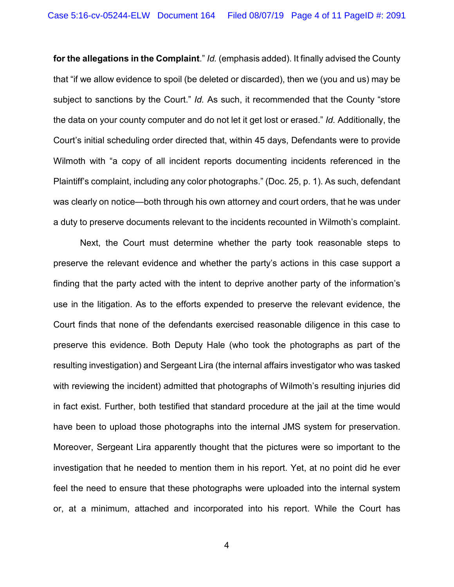**for the allegations in the Complaint**." *Id.* (emphasis added). It finally advised the County that "if we allow evidence to spoil (be deleted or discarded), then we (you and us) may be subject to sanctions by the Court." *Id.* As such, it recommended that the County "store the data on your county computer and do not let it get lost or erased." *Id.* Additionally, the Court's initial scheduling order directed that, within 45 days, Defendants were to provide Wilmoth with "a copy of all incident reports documenting incidents referenced in the Plaintiff's complaint, including any color photographs." (Doc. 25, p. 1). As such, defendant was clearly on notice—both through his own attorney and court orders, that he was under a duty to preserve documents relevant to the incidents recounted in Wilmoth's complaint.

Next, the Court must determine whether the party took reasonable steps to preserve the relevant evidence and whether the party's actions in this case support a finding that the party acted with the intent to deprive another party of the information's use in the litigation. As to the efforts expended to preserve the relevant evidence, the Court finds that none of the defendants exercised reasonable diligence in this case to preserve this evidence. Both Deputy Hale (who took the photographs as part of the resulting investigation) and Sergeant Lira (the internal affairs investigator who was tasked with reviewing the incident) admitted that photographs of Wilmoth's resulting injuries did in fact exist. Further, both testified that standard procedure at the jail at the time would have been to upload those photographs into the internal JMS system for preservation. Moreover, Sergeant Lira apparently thought that the pictures were so important to the investigation that he needed to mention them in his report. Yet, at no point did he ever feel the need to ensure that these photographs were uploaded into the internal system or, at a minimum, attached and incorporated into his report. While the Court has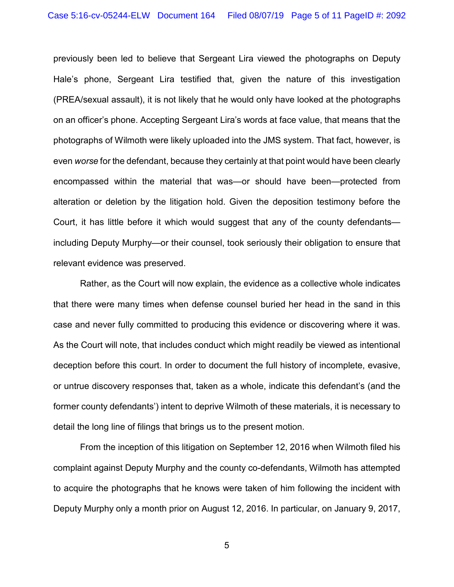previously been led to believe that Sergeant Lira viewed the photographs on Deputy Hale's phone, Sergeant Lira testified that, given the nature of this investigation (PREA/sexual assault), it is not likely that he would only have looked at the photographs on an officer's phone. Accepting Sergeant Lira's words at face value, that means that the photographs of Wilmoth were likely uploaded into the JMS system. That fact, however, is even *worse* for the defendant, because they certainly at that point would have been clearly encompassed within the material that was—or should have been—protected from alteration or deletion by the litigation hold. Given the deposition testimony before the Court, it has little before it which would suggest that any of the county defendants including Deputy Murphy—or their counsel, took seriously their obligation to ensure that relevant evidence was preserved.

Rather, as the Court will now explain, the evidence as a collective whole indicates that there were many times when defense counsel buried her head in the sand in this case and never fully committed to producing this evidence or discovering where it was. As the Court will note, that includes conduct which might readily be viewed as intentional deception before this court. In order to document the full history of incomplete, evasive, or untrue discovery responses that, taken as a whole, indicate this defendant's (and the former county defendants') intent to deprive Wilmoth of these materials, it is necessary to detail the long line of filings that brings us to the present motion.

From the inception of this litigation on September 12, 2016 when Wilmoth filed his complaint against Deputy Murphy and the county co-defendants, Wilmoth has attempted to acquire the photographs that he knows were taken of him following the incident with Deputy Murphy only a month prior on August 12, 2016. In particular, on January 9, 2017,

5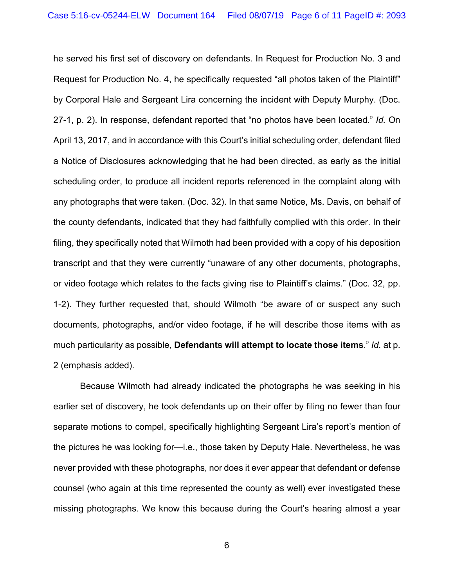he served his first set of discovery on defendants. In Request for Production No. 3 and Request for Production No. 4, he specifically requested "all photos taken of the Plaintiff" by Corporal Hale and Sergeant Lira concerning the incident with Deputy Murphy. (Doc. 27-1, p. 2). In response, defendant reported that "no photos have been located." *Id.* On April 13, 2017, and in accordance with this Court's initial scheduling order, defendant filed a Notice of Disclosures acknowledging that he had been directed, as early as the initial scheduling order, to produce all incident reports referenced in the complaint along with any photographs that were taken. (Doc. 32). In that same Notice, Ms. Davis, on behalf of the county defendants, indicated that they had faithfully complied with this order. In their filing, they specifically noted that Wilmoth had been provided with a copy of his deposition transcript and that they were currently "unaware of any other documents, photographs, or video footage which relates to the facts giving rise to Plaintiff's claims." (Doc. 32, pp. 1-2). They further requested that, should Wilmoth "be aware of or suspect any such documents, photographs, and/or video footage, if he will describe those items with as much particularity as possible, **Defendants will attempt to locate those items**." *Id.* at p. 2 (emphasis added).

Because Wilmoth had already indicated the photographs he was seeking in his earlier set of discovery, he took defendants up on their offer by filing no fewer than four separate motions to compel, specifically highlighting Sergeant Lira's report's mention of the pictures he was looking for—i.e., those taken by Deputy Hale. Nevertheless, he was never provided with these photographs, nor does it ever appear that defendant or defense counsel (who again at this time represented the county as well) ever investigated these missing photographs. We know this because during the Court's hearing almost a year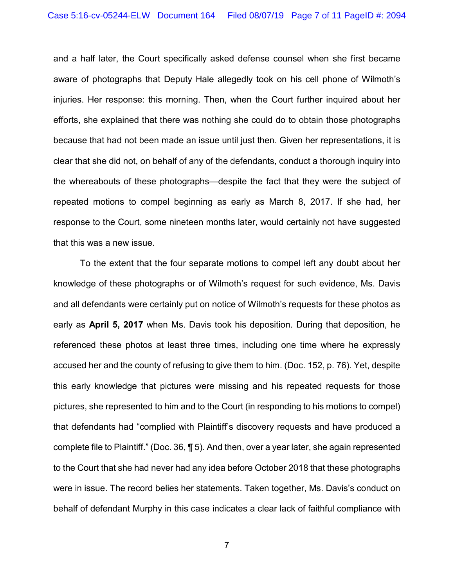and a half later, the Court specifically asked defense counsel when she first became aware of photographs that Deputy Hale allegedly took on his cell phone of Wilmoth's injuries. Her response: this morning. Then, when the Court further inquired about her efforts, she explained that there was nothing she could do to obtain those photographs because that had not been made an issue until just then. Given her representations, it is clear that she did not, on behalf of any of the defendants, conduct a thorough inquiry into the whereabouts of these photographs—despite the fact that they were the subject of repeated motions to compel beginning as early as March 8, 2017. If she had, her response to the Court, some nineteen months later, would certainly not have suggested that this was a new issue.

To the extent that the four separate motions to compel left any doubt about her knowledge of these photographs or of Wilmoth's request for such evidence, Ms. Davis and all defendants were certainly put on notice of Wilmoth's requests for these photos as early as **April 5, 2017** when Ms. Davis took his deposition. During that deposition, he referenced these photos at least three times, including one time where he expressly accused her and the county of refusing to give them to him. (Doc. 152, p. 76). Yet, despite this early knowledge that pictures were missing and his repeated requests for those pictures, she represented to him and to the Court (in responding to his motions to compel) that defendants had "complied with Plaintiff's discovery requests and have produced a complete file to Plaintiff." (Doc. 36, ¶ 5). And then, over a year later, she again represented to the Court that she had never had any idea before October 2018 that these photographs were in issue. The record belies her statements. Taken together, Ms. Davis's conduct on behalf of defendant Murphy in this case indicates a clear lack of faithful compliance with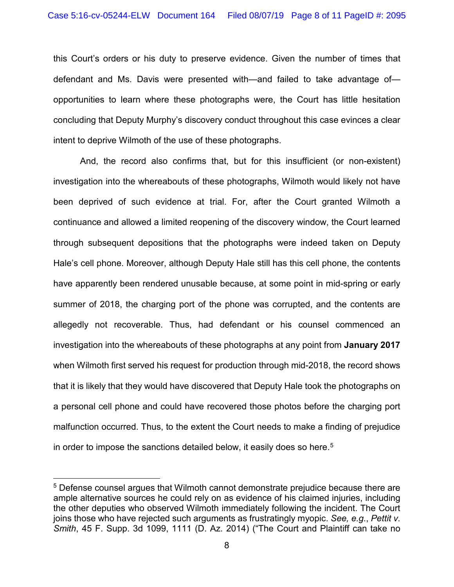this Court's orders or his duty to preserve evidence. Given the number of times that defendant and Ms. Davis were presented with—and failed to take advantage of opportunities to learn where these photographs were, the Court has little hesitation concluding that Deputy Murphy's discovery conduct throughout this case evinces a clear intent to deprive Wilmoth of the use of these photographs.

And, the record also confirms that, but for this insufficient (or non-existent) investigation into the whereabouts of these photographs, Wilmoth would likely not have been deprived of such evidence at trial. For, after the Court granted Wilmoth a continuance and allowed a limited reopening of the discovery window, the Court learned through subsequent depositions that the photographs were indeed taken on Deputy Hale's cell phone. Moreover, although Deputy Hale still has this cell phone, the contents have apparently been rendered unusable because, at some point in mid-spring or early summer of 2018, the charging port of the phone was corrupted, and the contents are allegedly not recoverable. Thus, had defendant or his counsel commenced an investigation into the whereabouts of these photographs at any point from **January 2017**  when Wilmoth first served his request for production through mid-2018, the record shows that it is likely that they would have discovered that Deputy Hale took the photographs on a personal cell phone and could have recovered those photos before the charging port malfunction occurred. Thus, to the extent the Court needs to make a finding of prejudice in order to impose the sanctions detailed below, it easily does so here.<sup>[5](#page-7-0)</sup>

<span id="page-7-0"></span><sup>5</sup> Defense counsel argues that Wilmoth cannot demonstrate prejudice because there are ample alternative sources he could rely on as evidence of his claimed injuries, including the other deputies who observed Wilmoth immediately following the incident. The Court joins those who have rejected such arguments as frustratingly myopic. *See, e.g.*, *Pettit v. Smith*, 45 F. Supp. 3d 1099, 1111 (D. Az. 2014) ("The Court and Plaintiff can take no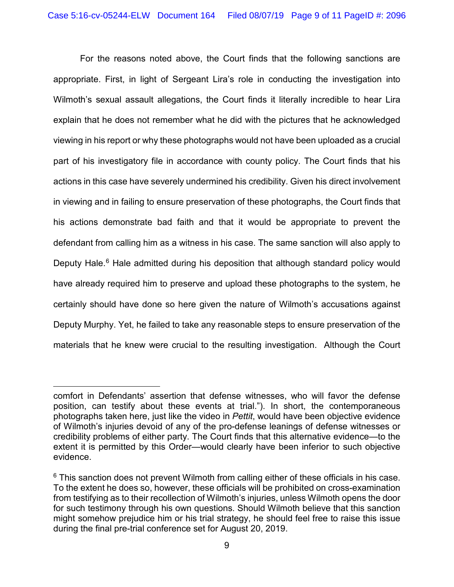For the reasons noted above, the Court finds that the following sanctions are appropriate. First, in light of Sergeant Lira's role in conducting the investigation into Wilmoth's sexual assault allegations, the Court finds it literally incredible to hear Lira explain that he does not remember what he did with the pictures that he acknowledged viewing in his report or why these photographs would not have been uploaded as a crucial part of his investigatory file in accordance with county policy. The Court finds that his actions in this case have severely undermined his credibility. Given his direct involvement in viewing and in failing to ensure preservation of these photographs, the Court finds that his actions demonstrate bad faith and that it would be appropriate to prevent the defendant from calling him as a witness in his case. The same sanction will also apply to Deputy Hale.<sup>[6](#page-8-0)</sup> Hale admitted during his deposition that although standard policy would have already required him to preserve and upload these photographs to the system, he certainly should have done so here given the nature of Wilmoth's accusations against Deputy Murphy. Yet, he failed to take any reasonable steps to ensure preservation of the materials that he knew were crucial to the resulting investigation. Although the Court

comfort in Defendants' assertion that defense witnesses, who will favor the defense position, can testify about these events at trial."). In short, the contemporaneous photographs taken here, just like the video in *Pettit*, would have been objective evidence of Wilmoth's injuries devoid of any of the pro-defense leanings of defense witnesses or credibility problems of either party. The Court finds that this alternative evidence—to the extent it is permitted by this Order—would clearly have been inferior to such objective evidence.

<span id="page-8-0"></span> $6$  This sanction does not prevent Wilmoth from calling either of these officials in his case. To the extent he does so, however, these officials will be prohibited on cross-examination from testifying as to their recollection of Wilmoth's injuries, unless Wilmoth opens the door for such testimony through his own questions. Should Wilmoth believe that this sanction might somehow prejudice him or his trial strategy, he should feel free to raise this issue during the final pre-trial conference set for August 20, 2019.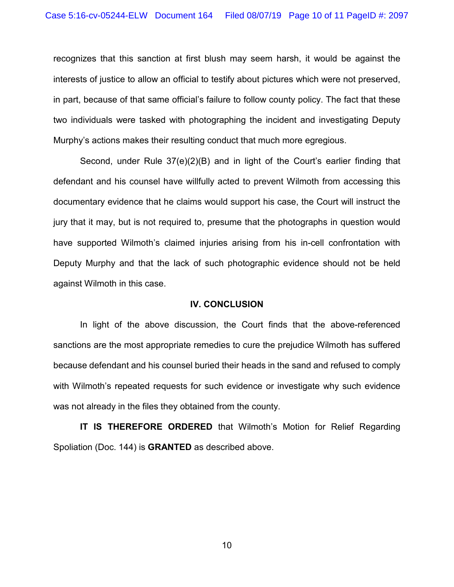recognizes that this sanction at first blush may seem harsh, it would be against the interests of justice to allow an official to testify about pictures which were not preserved, in part, because of that same official's failure to follow county policy. The fact that these two individuals were tasked with photographing the incident and investigating Deputy Murphy's actions makes their resulting conduct that much more egregious.

Second, under Rule 37(e)(2)(B) and in light of the Court's earlier finding that defendant and his counsel have willfully acted to prevent Wilmoth from accessing this documentary evidence that he claims would support his case, the Court will instruct the jury that it may, but is not required to, presume that the photographs in question would have supported Wilmoth's claimed injuries arising from his in-cell confrontation with Deputy Murphy and that the lack of such photographic evidence should not be held against Wilmoth in this case.

#### **IV. CONCLUSION**

In light of the above discussion, the Court finds that the above-referenced sanctions are the most appropriate remedies to cure the prejudice Wilmoth has suffered because defendant and his counsel buried their heads in the sand and refused to comply with Wilmoth's repeated requests for such evidence or investigate why such evidence was not already in the files they obtained from the county.

**IT IS THEREFORE ORDERED** that Wilmoth's Motion for Relief Regarding Spoliation (Doc. 144) is **GRANTED** as described above.

10